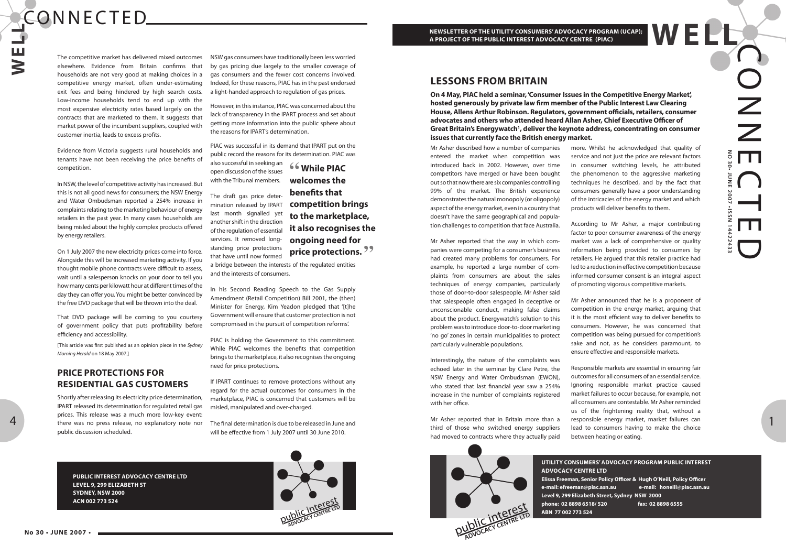Z Z z<br>o **NO 30• JUNE 2007 •ISSN 14422433** E $\bigcap$ **JUNE** 2002  $\overline{\phantom{0}}$ issi ED

### **WEP NEWSLETTER OF THE UTILITY CONSUMERS' ADVOCACY PROGRAM (UCAP); A PROJECT OF THE PUBLIC INTEREST ADVOCACY CENTRE (PIAC)**

**UTILITY CONSUMERS' ADVOCACY PROGRAM PUBLIC INTEREST ADVOCACY CENTRE LTD Elissa Freeman, Senior Policy Officer & Hugh O'Neill, Policy Officer e-mail: efreeman@piac.asn.au e-mail: honeill@piac.asn.au Level 9, 299 Elizabeth Street, Sydney NSW 2000 phone: 02 8898 6518/ 520 fax: 02 8898 6555 ABN 77 002 773 524**

**PUBLIC INTEREST ADVOCACY CENTRE LTD LEVEL 9, 299 ELIZABETH ST SYDNEY, NSW 2000 ACN 002 773 524**



1

# CONNECTED.

**W E L L**

4

Mr Asher described how a number of companies entered the market when competition was introduced back in 2002. However, over time competitors have merged or have been bought out so that now there are six companies controlling 99% of the market. The British experience demonstrates the natural monopoly (or oligopoly) aspect of the energy market, even in a country that doesn't have the same geographical and population challenges to competition that face Australia.

Mr Asher reported that the way in which companies were competing for a consumer's business had created many problems for consumers. For example, he reported a large number of complaints from consumers are about the sales techniques of energy companies, particularly those of door-to-door salespeople. Mr Asher said that salespeople often engaged in deceptive or unconscionable conduct, making false claims about the product. Energywatch's solution to this problem was to introduce door-to-door marketing 'no go' zones in certain municipalities to protect particularly vulnerable populations.

Interestingly, the nature of the complaints was echoed later in the seminar by Clare Petre, the NSW Energy and Water Ombudsman (EWON), who stated that last financial year saw a 254% increase in the number of complaints registered with her office.

Mr Asher reported that in Britain more than a third of those who switched energy suppliers had moved to contracts where they actually paid



more. Whilst he acknowledged that quality of service and not just the price are relevant factors in consumer switching levels, he attributed the phenomenon to the aggressive marketing techniques he described, and by the fact that consumers generally have a poor understanding of the intricacies of the energy market and which products will deliver benefits to them.

According to Mr Asher, a major contributing factor to poor consumer awareness of the energy market was a lack of comprehensive or quality information being provided to consumers by retailers. He argued that this retailer practice had led to a reduction in effective competition because informed consumer consent is an integral aspect of promoting vigorous competitive markets.

Mr Asher announced that he is a proponent of competition in the energy market, arguing that it is the most efficient way to deliver benefits to consumers. However, he was concerned that competition was being pursued for competition's sake and not, as he considers paramount, to ensure effective and responsible markets.

Responsible markets are essential in ensuring fair outcomes for all consumers of an essential service. Ignoring responsible market practice caused market failures to occur because, for example, not all consumers are contestable. Mr Asher reminded us of the frightening reality that, without a responsible energy market, market failures can lead to consumers having to make the choice between heating or eating.

The competitive market has delivered mixed outcomes elsewhere. Evidence from Britain confirms that households are not very good at making choices in a competitive energy market, often under-estimating exit fees and being hindered by high search costs. Low-income households tend to end up with the most expensive electricity rates based largely on the contracts that are marketed to them. It suggests that market power of the incumbent suppliers, coupled with customer inertia, leads to excess profits.

Evidence from Victoria suggests rural households and tenants have not been receiving the price benefits of competition.

In NSW, the level of competitive activity has increased. But this is not all good news for consumers; the NSW Energy and Water Ombudsman reported a 254% increase in complaints relating to the marketing behaviour of energy retailers in the past year. In many cases households are being misled about the highly complex products offered by energy retailers.

On 1 July 2007 the new electricity prices come into force. Alongside this will be increased marketing activity. If you thought mobile phone contracts were difficult to assess, wait until a salesperson knocks on your door to tell you how many cents per kilowatt hour at different times of the day they can offer you. You might be better convinced by the free DVD package that will be thrown into the deal.

That DVD package will be coming to you courtesy of government policy that puts profitability before efficiency and accessibility.

[This article was first published as an opinion piece in the Sydney Morning Herald on 18 May 2007.]

# **PRICE PROTECTIONS FOR RESIDENTIAL GAS CUSTOMERS**

Shortly after releasing its electricity price determination, IPART released its determination for regulated retail gas prices. This release was a much more low-key event: there was no press release, no explanatory note nor public discussion scheduled.

NSW gas consumers have traditionally been less worried by gas pricing due largely to the smaller coverage of gas consumers and the fewer cost concerns involved. Indeed, for these reasons, PIAC has in the past endorsed a light-handed approach to regulation of gas prices.

However, in this instance, PIAC was concerned about the lack of transparency in the IPART process and set about getting more information into the public sphere about the reasons for IPART's determination.

PIAC was successful in its demand that IPART put on the public record the reasons for its determination. PIAC was

also successful in seeking an open discussion of the issues with the Tribunal members.

The draft gas price determination released by IPART last month signalled yet another shift in the direction of the regulation of essential services. It removed longstanding price protections that have until now formed

a bridge between the interests of the regulated entities and the interests of consumers.

In his Second Reading Speech to the Gas Supply Amendment (Retail Competition) Bill 2001, the (then) Minister for Energy, Kim Yeadon pledged that '[t]he Government will ensure that customer protection is not compromised in the pursuit of competition reforms'.

PIAC is holding the Government to this commitment. While PIAC welcomes the benefits that competition brings to the marketplace, it also recognises the ongoing need for price protections.

If IPART continues to remove protections without any regard for the actual outcomes for consumers in the marketplace, PIAC is concerned that customers will be misled, manipulated and over-charged.

The final determination is due to be released in June and will be effective from 1 July 2007 until 30 June 2010.

**" While PIAC welcomes the benefits that competition brings to the marketplace, it also recognises the ongoing need for price protections."**

**On 4 May, PIAC held a seminar, 'Consumer Issues in the Competitive Energy Market', hosted generously by private law firm member of the Public Interest Law Clearing House, Allens Arthur Robinson. Regulators, government officials, retailers, consumer advocates and others who attended heard Allan Asher, Chief Executive Officer of**  Great Britain's Energywatch<sup>1</sup>, deliver the keynote address, concentrating on consumer **issues that currently face the British energy market.** 

## **LESSONS FROM BRITAIN**